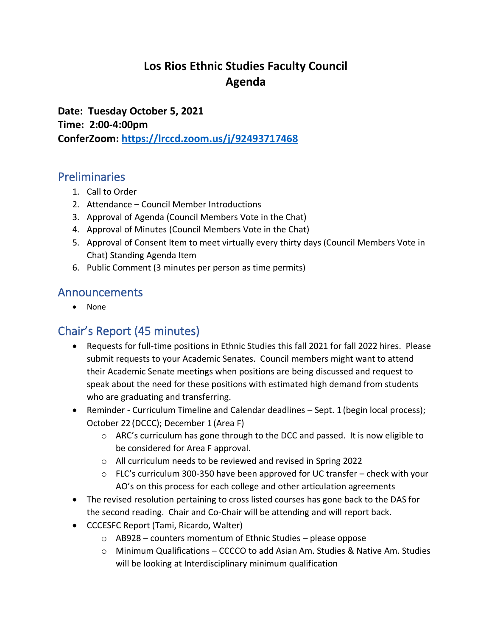## **Los Rios Ethnic Studies Faculty Council Agenda**

**Date: Tuesday October 5, 2021 Time: 2:00-4:00pm ConferZoom: <https://lrccd.zoom.us/j/92493717468>**

#### Preliminaries

- 1. Call to Order
- 2. Attendance Council Member Introductions
- 3. Approval of Agenda (Council Members Vote in the Chat)
- 4. Approval of Minutes (Council Members Vote in the Chat)
- 5. Approval of Consent Item to meet virtually every thirty days (Council Members Vote in Chat) Standing Agenda Item
- 6. Public Comment (3 minutes per person as time permits)

### Announcements

• None

## Chair's Report (45 minutes)

- Requests for full-time positions in Ethnic Studies this fall 2021 for fall 2022 hires. Please submit requests to your Academic Senates. Council members might want to attend their Academic Senate meetings when positions are being discussed and request to speak about the need for these positions with estimated high demand from students who are graduating and transferring.
- Reminder Curriculum Timeline and Calendar deadlines Sept. 1 (begin local process); October 22 (DCCC); December 1 (Area F)
	- $\circ$  ARC's curriculum has gone through to the DCC and passed. It is now eligible to be considered for Area F approval.
	- o All curriculum needs to be reviewed and revised in Spring 2022
	- $\circ$  FLC's curriculum 300-350 have been approved for UC transfer check with your AO's on this process for each college and other articulation agreements
- The revised resolution pertaining to cross listed courses has gone back to the DAS for the second reading. Chair and Co-Chair will be attending and will report back.
- CCCESFC Report (Tami, Ricardo, Walter)
	- o AB928 counters momentum of Ethnic Studies please oppose
	- o Minimum Qualifications CCCCO to add Asian Am. Studies & Native Am. Studies will be looking at Interdisciplinary minimum qualification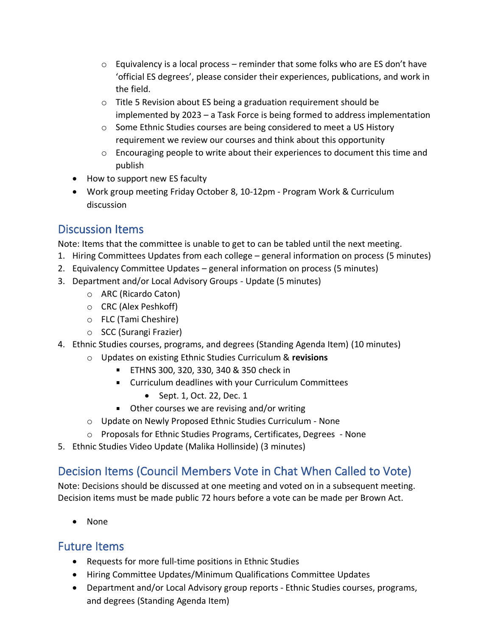- $\circ$  Equivalency is a local process reminder that some folks who are ES don't have 'official ES degrees', please consider their experiences, publications, and work in the field.
- o Title 5 Revision about ES being a graduation requirement should be implemented by 2023 – a Task Force is being formed to address implementation
- o Some Ethnic Studies courses are being considered to meet a US History requirement we review our courses and think about this opportunity
- $\circ$  Encouraging people to write about their experiences to document this time and publish
- How to support new ES faculty
- Work group meeting Friday October 8, 10-12pm Program Work & Curriculum discussion

## Discussion Items

Note: Items that the committee is unable to get to can be tabled until the next meeting.

- 1. Hiring Committees Updates from each college general information on process (5 minutes)
- 2. Equivalency Committee Updates general information on process (5 minutes)
- 3. Department and/or Local Advisory Groups Update (5 minutes)
	- o ARC (Ricardo Caton)
	- o CRC (Alex Peshkoff)
	- o FLC (Tami Cheshire)
	- o SCC (Surangi Frazier)
- 4. Ethnic Studies courses, programs, and degrees (Standing Agenda Item) (10 minutes)
	- o Updates on existing Ethnic Studies Curriculum & **revisions**
		- ETHNS 300, 320, 330, 340 & 350 check in
		- Curriculum deadlines with your Curriculum Committees
			- Sept. 1, Oct. 22, Dec. 1
		- Other courses we are revising and/or writing
	- o Update on Newly Proposed Ethnic Studies Curriculum None
	- o Proposals for Ethnic Studies Programs, Certificates, Degrees None
- 5. Ethnic Studies Video Update (Malika Hollinside) (3 minutes)

# Decision Items (Council Members Vote in Chat When Called to Vote)

Note: Decisions should be discussed at one meeting and voted on in a subsequent meeting. Decision items must be made public 72 hours before a vote can be made per Brown Act.

• None

#### Future Items

- Requests for more full-time positions in Ethnic Studies
- Hiring Committee Updates/Minimum Qualifications Committee Updates
- Department and/or Local Advisory group reports Ethnic Studies courses, programs, and degrees (Standing Agenda Item)